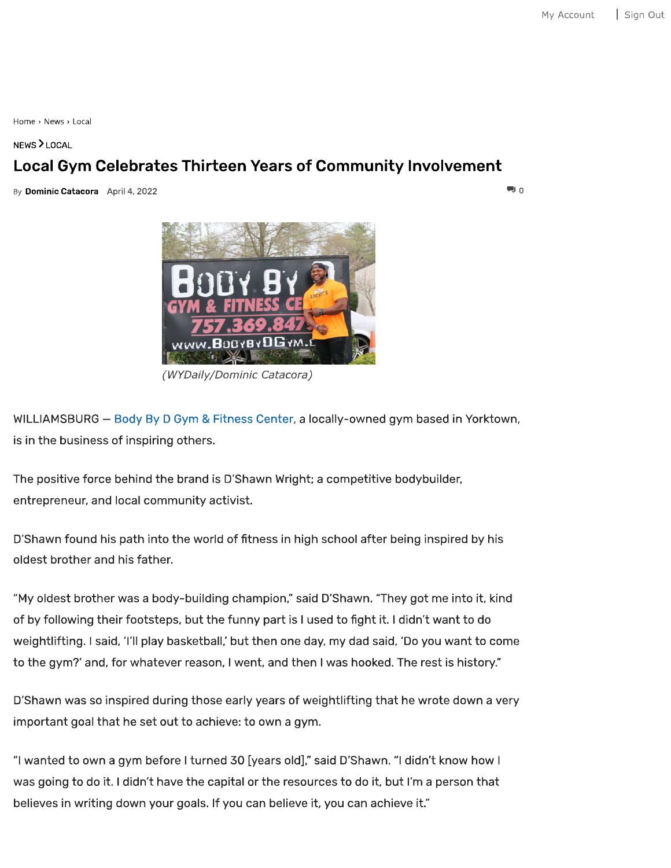Home <sup>&</sup>gt; News <sup>&</sup>gt; Local

## NEWS > LOCAL

## **Local Gym Celebrates Thirteen Years of Community Involvement**

**Explominic Catacora** April 4, 2022 All and the set of the set of the set of the set of the set of the set of the set of the set of the set of the set of the set of the set of the set of the set of the set of the set of th



*(WYDaily/Dominic Catacora)*

WILLIAMSBURG - Body By D Gym & Fitness Center, a locally-owned gym based in Yorktown, is in the business of inspiring others.

The positive force behind the brand is D'Shawn Wright; a competitive bodybuilder, entrepreneur, and local community activist.

D'Shawn found his path into the world of fitness in high school after being inspired by his oldest brother and his father.

"My oldest brother was <sup>a</sup> body-building champion, " said D'Shawn. "They got me into it, kind of by following their footsteps, but the funny part is I used to fight it. I didn't want to do weightlifting. I said, 'I'll play basketball,' but then one day, my dad said, 'Do you want to come to the gym?' and, for whatever reason, I went, and then I was hooked. The rest is history."

D'Shawn was so inspired during those early years of weightlifting that he wrote down a very important goal that he set out to achieve: to own <sup>a</sup> gym.

"I wanted to own a gym before I turned 30 [years old], " said D'Shawn. "I didn' t know how <sup>I</sup> was going to do it. I didn't have the capital or the resources to do it, but I'm a person that believes in writing down your goals. If you can believe it, you can achieve it. "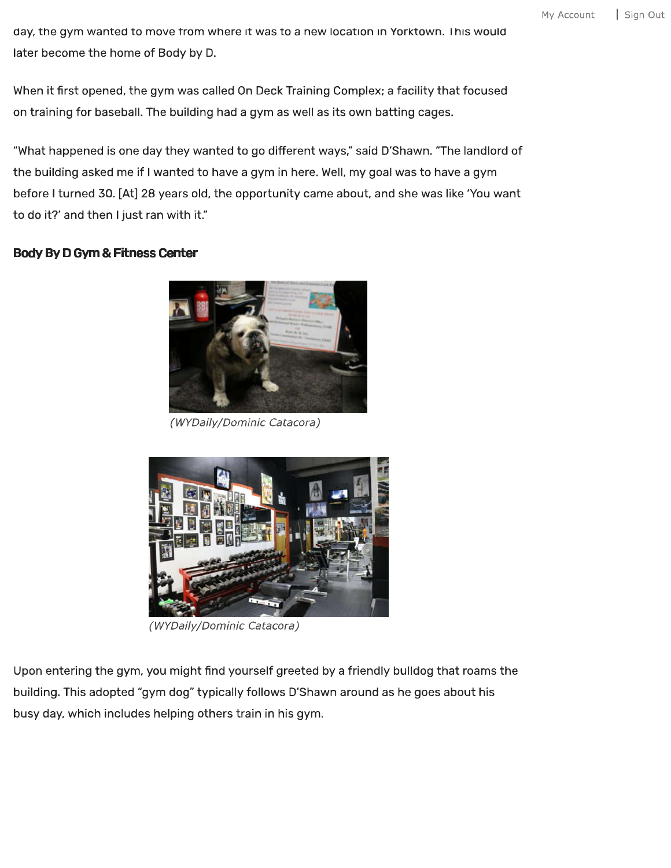day, the gym wanted to move trom where it was to a new location in Yorktown. Ihis would later become the home of Body by D.

When it first opened, the gym was called On Deck Training Complex; a facility that focused on training for baseball. The building had <sup>a</sup> gym as well as its own batting cages.

"What happened is one day they wanted to go different ways," said D'Shawn. "The landlord of the building asked me if I wanted to have a gym in here. Well, my goal was to have a gym before I turned 30. [At] 28 years old, the opportunity came about, and she was like 'You want to do it?' and then I just ran with it."

## **Body By D Gym & Fitness Center**



*(WYDaily/Dominic Catacora)*



*(WYDaily/ Dominic Catacora)*

Upon entering the gym, you might find yourself greeted by a friendly bulldog that roams the building. This adopted "gym dog" typically follows D'Shawn around as he goes about his busy day, which includes helping others train in his gym.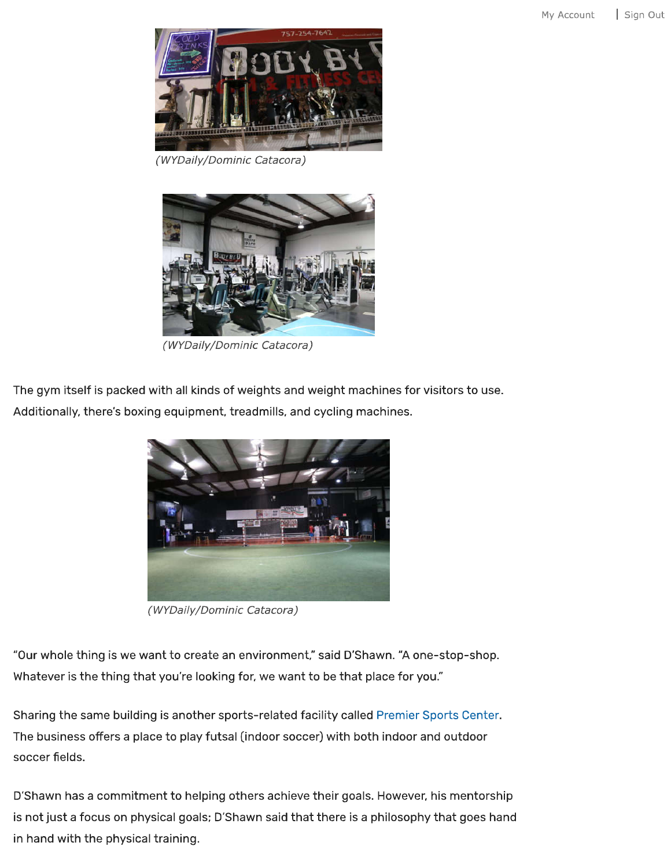

*(WYDaily/Dominic Catacora)*



*(WYDaily/Dominic Catacora)*

The gym itself is packed with all kinds of weights and weight machines for visitors to use. Additionally, there's boxing equipment, treadmills, and cycling machines.



*(WYDaily/Dominic Catacora)*

"Our whole thing is we want to create an environment," said D'Shawn. "A one-stop-shop. Whatever is the thing that you're looking for, we want to be that place for you."

Sharing the same building is another sports-related facility called Premier Sports Center. The business offers a place to play futsal (indoor soccer) with both indoor and outdoor soccer fields.

D'Shawn has <sup>a</sup> commitment to helping others achieve their goals. However, his mentorship is not just a focus on physical goals; D'Shawn said that there is a philosophy that goes hand in hand with the physical training.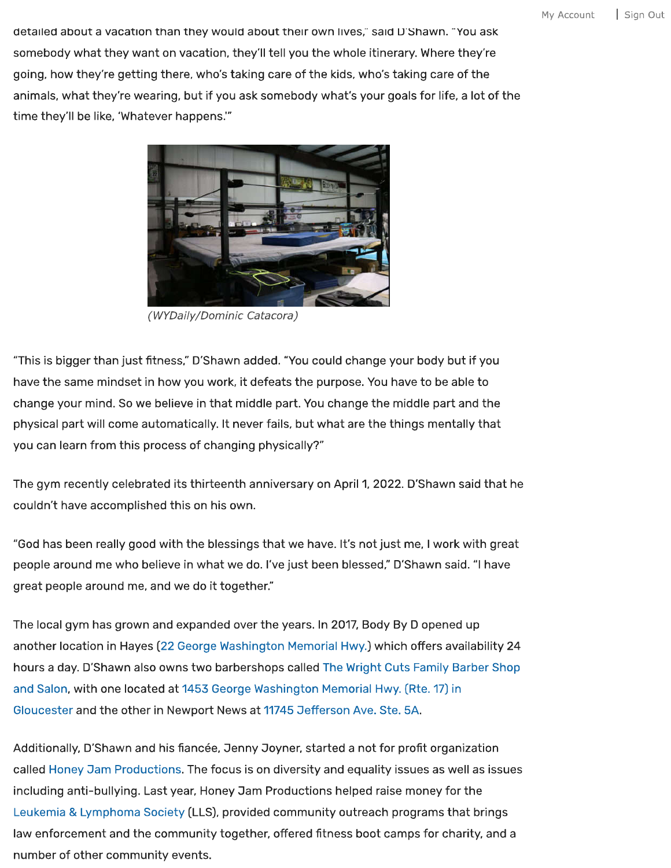detailed about a vacation than they would about their own lives," said D'Shawn. "You ask somebody what they want on vacation, they'll tell you the whole itinerary. Where they're going, how they're getting there, who's taking care of the kids, who's taking care of the animals, what they're wearing, but if you ask somebody what's your goals for life, a lot of the time they' ll be like, 'Whatever happens."'



*(WYDaily/Dominic Catacora)*

"This is bigger than just fitness, " D'Shawn added. "You could change your body but if you have the same mindset in how you work, it defeats the purpose. You have to be able to change your mind. So we believe in that middle part. You change the middle part and the physical part will come automatically. It never fails, but what are the things mentally that you can learn from this process of changing physically?"

The gym recently celebrated its thirteenth anniversary on April 1, 2022. D'Shawn said that he couldn' t have accomplished this on his own.

"God has been really good with the blessings that we have. It's not just me, I work with great people around me who believe in what we do. I've just been blessed," D'Shawn said. "I have great people around me, and we do it together. "

The local gym has grown and expanded over the years. In 2017, Body By D opened up another location in Hayes (22 George Washington Memorial Hwy.) which offers availability 24 hours a day. D'Shawn also owns two barbershops called The Wright Cuts Family Barber Shop and Salon, with one located at 1453 George Washington Memorial Hwy. (Rte. 17) in Gloucester and the other in Newport News at <sup>11745</sup> Defferson Ave. Ste. 5A.

Additionally, D'Shawn and his fiancée, Jenny Joyner, started a not for profit organization called Honey Dam Productions. The focus is on diversity and equality issues as well as issues including anti-bullying. Last year. Honey Dam Productions helped raise money for the Leukemia & Lymphoma Society (LLS), provided community outreach programs that brings law enforcement and the community together, offered fitness boot camps for charity, and a number of other community events.